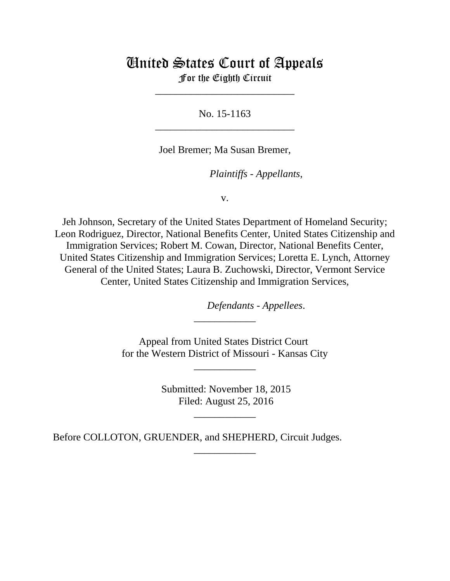# United States Court of Appeals For the Eighth Circuit

\_\_\_\_\_\_\_\_\_\_\_\_\_\_\_\_\_\_\_\_\_\_\_\_\_\_\_

No. 15-1163 \_\_\_\_\_\_\_\_\_\_\_\_\_\_\_\_\_\_\_\_\_\_\_\_\_\_\_

Joel Bremer; Ma Susan Bremer,

*Plaintiffs - Appellants,* 

v.

Jeh Johnson, Secretary of the United States Department of Homeland Security; Leon Rodriguez, Director, National Benefits Center, United States Citizenship and Immigration Services; Robert M. Cowan, Director, National Benefits Center, United States Citizenship and Immigration Services; Loretta E. Lynch, Attorney General of the United States; Laura B. Zuchowski, Director, Vermont Service Center, United States Citizenship and Immigration Services,

*Defendants - Appellees.* 

Appeal from United States District Court for the Western District of Missouri - Kansas City

\_\_\_\_\_\_\_\_\_\_\_\_

\_\_\_\_\_\_\_\_\_\_\_\_

 Submitted: November 18, 2015 Filed: August 25, 2016

\_\_\_\_\_\_\_\_\_\_\_\_

\_\_\_\_\_\_\_\_\_\_\_\_

Before COLLOTON, GRUENDER, and SHEPHERD, Circuit Judges.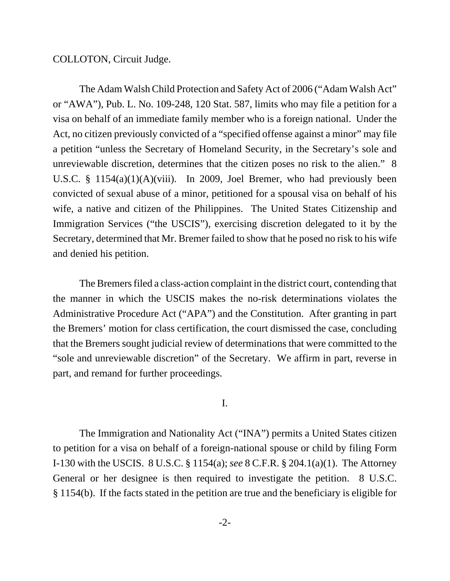COLLOTON, Circuit Judge.

The Adam Walsh Child Protection and Safety Act of 2006 ("Adam Walsh Act" or "AWA"), Pub. L. No. 109-248, 120 Stat. 587, limits who may file a petition for a visa on behalf of an immediate family member who is a foreign national. Under the Act, no citizen previously convicted of a "specified offense against a minor" may file a petition "unless the Secretary of Homeland Security, in the Secretary's sole and unreviewable discretion, determines that the citizen poses no risk to the alien." 8 U.S.C. § 1154(a)(1)(A)(viii). In 2009, Joel Bremer, who had previously been convicted of sexual abuse of a minor, petitioned for a spousal visa on behalf of his wife, a native and citizen of the Philippines. The United States Citizenship and Immigration Services ("the USCIS"), exercising discretion delegated to it by the Secretary, determined that Mr. Bremer failed to show that he posed no risk to his wife and denied his petition.

The Bremers filed a class-action complaint in the district court, contending that the manner in which the USCIS makes the no-risk determinations violates the Administrative Procedure Act ("APA") and the Constitution. After granting in part the Bremers' motion for class certification, the court dismissed the case, concluding that the Bremers sought judicial review of determinations that were committed to the "sole and unreviewable discretion" of the Secretary. We affirm in part, reverse in part, and remand for further proceedings.

## I.

The Immigration and Nationality Act ("INA") permits a United States citizen to petition for a visa on behalf of a foreign-national spouse or child by filing Form I-130 with the USCIS. 8 U.S.C. § 1154(a); *see* 8 C.F.R. § 204.1(a)(1). The Attorney General or her designee is then required to investigate the petition. 8 U.S.C. § 1154(b). If the facts stated in the petition are true and the beneficiary is eligible for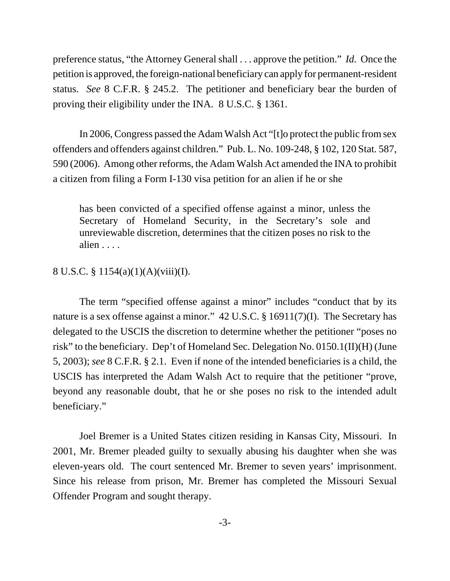preference status, "the Attorney General shall . . . approve the petition." *Id.* Once the petition is approved, the foreign-national beneficiary can apply for permanent-resident status. *See* 8 C.F.R. § 245.2. The petitioner and beneficiary bear the burden of proving their eligibility under the INA. 8 U.S.C. § 1361.

In 2006, Congress passed the Adam Walsh Act "[t]o protect the public from sex offenders and offenders against children." Pub. L. No. 109-248, § 102, 120 Stat. 587, 590 (2006). Among other reforms, the Adam Walsh Act amended the INA to prohibit a citizen from filing a Form I-130 visa petition for an alien if he or she

has been convicted of a specified offense against a minor, unless the Secretary of Homeland Security, in the Secretary's sole and unreviewable discretion, determines that the citizen poses no risk to the alien . . . .

## 8 U.S.C. § 1154(a)(1)(A)(viii)(I).

The term "specified offense against a minor" includes "conduct that by its nature is a sex offense against a minor." 42 U.S.C. § 16911(7)(I). The Secretary has delegated to the USCIS the discretion to determine whether the petitioner "poses no risk" to the beneficiary. Dep't of Homeland Sec. Delegation No. 0150.1(II)(H) (June 5, 2003); *see* 8 C.F.R. § 2.1. Even if none of the intended beneficiaries is a child, the USCIS has interpreted the Adam Walsh Act to require that the petitioner "prove, beyond any reasonable doubt, that he or she poses no risk to the intended adult beneficiary."

Joel Bremer is a United States citizen residing in Kansas City, Missouri. In 2001, Mr. Bremer pleaded guilty to sexually abusing his daughter when she was eleven-years old. The court sentenced Mr. Bremer to seven years' imprisonment. Since his release from prison, Mr. Bremer has completed the Missouri Sexual Offender Program and sought therapy.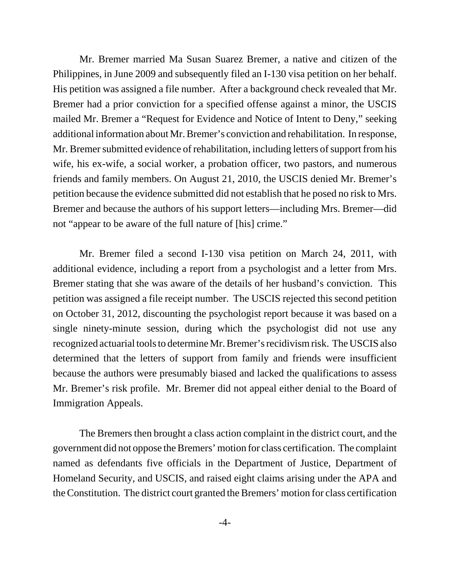Mr. Bremer married Ma Susan Suarez Bremer, a native and citizen of the Philippines, in June 2009 and subsequently filed an I-130 visa petition on her behalf. His petition was assigned a file number. After a background check revealed that Mr. Bremer had a prior conviction for a specified offense against a minor, the USCIS mailed Mr. Bremer a "Request for Evidence and Notice of Intent to Deny," seeking additional information about Mr. Bremer's conviction and rehabilitation. In response, Mr. Bremer submitted evidence of rehabilitation, including letters of support from his wife, his ex-wife, a social worker, a probation officer, two pastors, and numerous friends and family members. On August 21, 2010, the USCIS denied Mr. Bremer's petition because the evidence submitted did not establish that he posed no risk to Mrs. Bremer and because the authors of his support letters—including Mrs. Bremer—did not "appear to be aware of the full nature of [his] crime."

Mr. Bremer filed a second I-130 visa petition on March 24, 2011, with additional evidence, including a report from a psychologist and a letter from Mrs. Bremer stating that she was aware of the details of her husband's conviction. This petition was assigned a file receipt number. The USCIS rejected this second petition on October 31, 2012, discounting the psychologist report because it was based on a single ninety-minute session, during which the psychologist did not use any recognized actuarial tools to determine Mr. Bremer's recidivism risk. The USCIS also determined that the letters of support from family and friends were insufficient because the authors were presumably biased and lacked the qualifications to assess Mr. Bremer's risk profile. Mr. Bremer did not appeal either denial to the Board of Immigration Appeals.

The Bremers then brought a class action complaint in the district court, and the government did not oppose the Bremers' motion for class certification. The complaint named as defendants five officials in the Department of Justice, Department of Homeland Security, and USCIS, and raised eight claims arising under the APA and the Constitution. The district court granted the Bremers' motion for class certification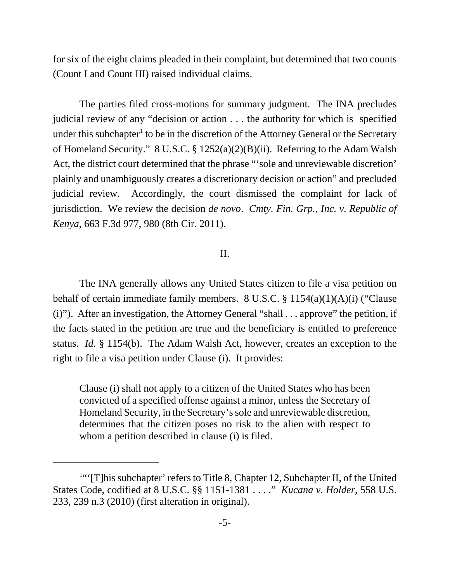for six of the eight claims pleaded in their complaint, but determined that two counts (Count I and Count III) raised individual claims.

The parties filed cross-motions for summary judgment. The INA precludes judicial review of any "decision or action . . . the authority for which is specified under this subchapter<sup>1</sup> to be in the discretion of the Attorney General or the Secretary of Homeland Security." 8 U.S.C. § 1252(a)(2)(B)(ii). Referring to the Adam Walsh Act, the district court determined that the phrase "'sole and unreviewable discretion' plainly and unambiguously creates a discretionary decision or action" and precluded judicial review. Accordingly, the court dismissed the complaint for lack of jurisdiction. We review the decision *de novo*. *Cmty. Fin. Grp., Inc. v. Republic of Kenya*, 663 F.3d 977, 980 (8th Cir. 2011).

## II.

The INA generally allows any United States citizen to file a visa petition on behalf of certain immediate family members. 8 U.S.C. § 1154(a)(1)(A)(i) ("Clause (i)"). After an investigation, the Attorney General "shall . . . approve" the petition, if the facts stated in the petition are true and the beneficiary is entitled to preference status. *Id.* § 1154(b). The Adam Walsh Act, however, creates an exception to the right to file a visa petition under Clause (i). It provides:

Clause (i) shall not apply to a citizen of the United States who has been convicted of a specified offense against a minor, unless the Secretary of Homeland Security, in the Secretary's sole and unreviewable discretion, determines that the citizen poses no risk to the alien with respect to whom a petition described in clause (i) is filed.

<sup>&</sup>lt;sup>1"</sup>[T]his subchapter' refers to Title 8, Chapter 12, Subchapter II, of the United States Code, codified at 8 U.S.C. §§ 1151-1381 . . . ." *Kucana v. Holder*, 558 U.S. 233, 239 n.3 (2010) (first alteration in original).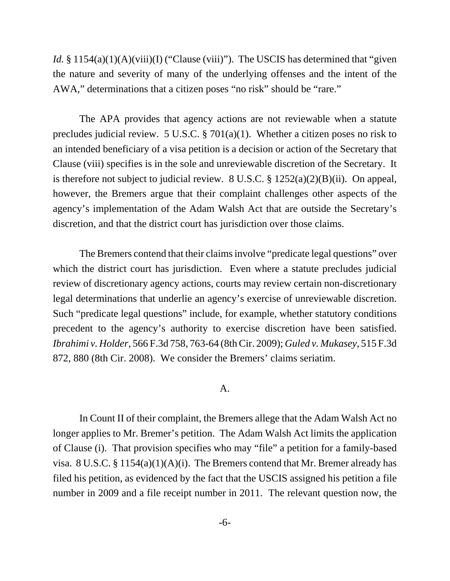*Id.* § 1154(a)(1)(A)(viii)(I) ("Clause (viii)"). The USCIS has determined that "given the nature and severity of many of the underlying offenses and the intent of the AWA," determinations that a citizen poses "no risk" should be "rare."

The APA provides that agency actions are not reviewable when a statute precludes judicial review. 5 U.S.C. § 701(a)(1). Whether a citizen poses no risk to an intended beneficiary of a visa petition is a decision or action of the Secretary that Clause (viii) specifies is in the sole and unreviewable discretion of the Secretary. It is therefore not subject to judicial review. 8 U.S.C. § 1252(a)(2)(B)(ii). On appeal, however, the Bremers argue that their complaint challenges other aspects of the agency's implementation of the Adam Walsh Act that are outside the Secretary's discretion, and that the district court has jurisdiction over those claims.

The Bremers contend that their claims involve "predicate legal questions" over which the district court has jurisdiction. Even where a statute precludes judicial review of discretionary agency actions, courts may review certain non-discretionary legal determinations that underlie an agency's exercise of unreviewable discretion. Such "predicate legal questions" include, for example, whether statutory conditions precedent to the agency's authority to exercise discretion have been satisfied. *Ibrahimi v. Holder*, 566 F.3d 758, 763-64 (8th Cir. 2009); *Guled v. Mukasey*, 515 F.3d 872, 880 (8th Cir. 2008). We consider the Bremers' claims seriatim.

## A.

In Count II of their complaint, the Bremers allege that the Adam Walsh Act no longer applies to Mr. Bremer's petition. The Adam Walsh Act limits the application of Clause (i). That provision specifies who may "file" a petition for a family-based visa. 8 U.S.C. § 1154(a)(1)(A)(i). The Bremers contend that Mr. Bremer already has filed his petition, as evidenced by the fact that the USCIS assigned his petition a file number in 2009 and a file receipt number in 2011. The relevant question now, the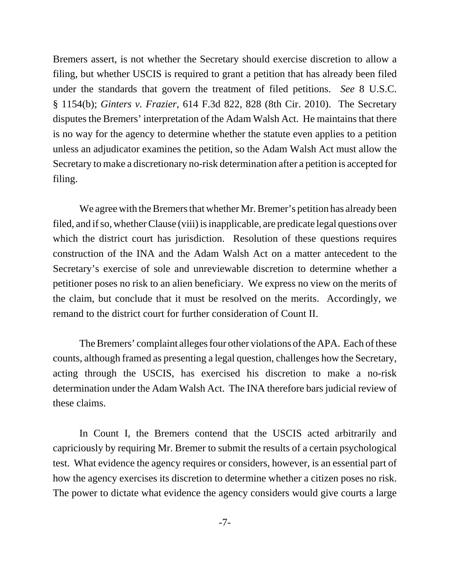Bremers assert, is not whether the Secretary should exercise discretion to allow a filing, but whether USCIS is required to grant a petition that has already been filed under the standards that govern the treatment of filed petitions. *See* 8 U.S.C. § 1154(b); *Ginters v. Frazier*, 614 F.3d 822, 828 (8th Cir. 2010). The Secretary disputes the Bremers' interpretation of the Adam Walsh Act. He maintains that there is no way for the agency to determine whether the statute even applies to a petition unless an adjudicator examines the petition, so the Adam Walsh Act must allow the Secretary to make a discretionary no-risk determination after a petition is accepted for filing.

We agree with the Bremers that whether Mr. Bremer's petition has already been filed, and if so, whether Clause (viii) is inapplicable, are predicate legal questions over which the district court has jurisdiction. Resolution of these questions requires construction of the INA and the Adam Walsh Act on a matter antecedent to the Secretary's exercise of sole and unreviewable discretion to determine whether a petitioner poses no risk to an alien beneficiary. We express no view on the merits of the claim, but conclude that it must be resolved on the merits. Accordingly, we remand to the district court for further consideration of Count II.

The Bremers' complaint alleges four other violations of the APA. Each of these counts, although framed as presenting a legal question, challenges how the Secretary, acting through the USCIS, has exercised his discretion to make a no-risk determination under the Adam Walsh Act. The INA therefore bars judicial review of these claims.

In Count I, the Bremers contend that the USCIS acted arbitrarily and capriciously by requiring Mr. Bremer to submit the results of a certain psychological test. What evidence the agency requires or considers, however, is an essential part of how the agency exercises its discretion to determine whether a citizen poses no risk. The power to dictate what evidence the agency considers would give courts a large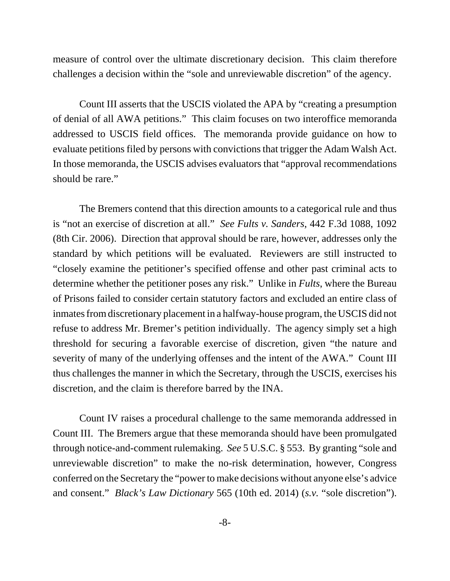measure of control over the ultimate discretionary decision. This claim therefore challenges a decision within the "sole and unreviewable discretion" of the agency.

Count III asserts that the USCIS violated the APA by "creating a presumption of denial of all AWA petitions." This claim focuses on two interoffice memoranda addressed to USCIS field offices. The memoranda provide guidance on how to evaluate petitions filed by persons with convictions that trigger the Adam Walsh Act. In those memoranda, the USCIS advises evaluators that "approval recommendations should be rare."

The Bremers contend that this direction amounts to a categorical rule and thus is "not an exercise of discretion at all." *See Fults v. Sanders*, 442 F.3d 1088, 1092 (8th Cir. 2006). Direction that approval should be rare, however, addresses only the standard by which petitions will be evaluated. Reviewers are still instructed to "closely examine the petitioner's specified offense and other past criminal acts to determine whether the petitioner poses any risk." Unlike in *Fults*, where the Bureau of Prisons failed to consider certain statutory factors and excluded an entire class of inmates from discretionary placement in a halfway-house program, the USCIS did not refuse to address Mr. Bremer's petition individually. The agency simply set a high threshold for securing a favorable exercise of discretion, given "the nature and severity of many of the underlying offenses and the intent of the AWA." Count III thus challenges the manner in which the Secretary, through the USCIS, exercises his discretion, and the claim is therefore barred by the INA.

Count IV raises a procedural challenge to the same memoranda addressed in Count III. The Bremers argue that these memoranda should have been promulgated through notice-and-comment rulemaking. *See* 5 U.S.C. § 553. By granting "sole and unreviewable discretion" to make the no-risk determination, however, Congress conferred on the Secretary the "power to make decisions without anyone else's advice and consent." *Black's Law Dictionary* 565 (10th ed. 2014) (*s.v.* "sole discretion").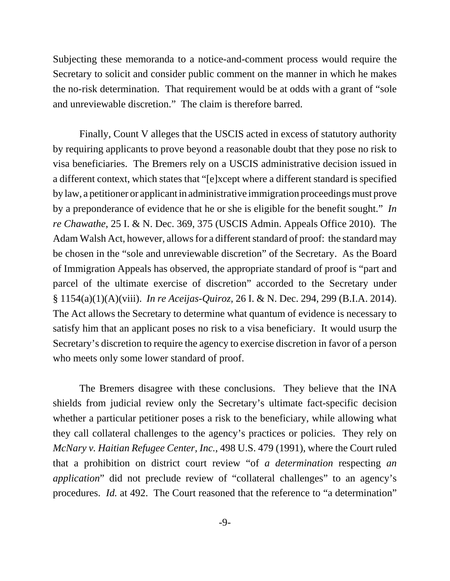Subjecting these memoranda to a notice-and-comment process would require the Secretary to solicit and consider public comment on the manner in which he makes the no-risk determination. That requirement would be at odds with a grant of "sole and unreviewable discretion." The claim is therefore barred.

Finally, Count V alleges that the USCIS acted in excess of statutory authority by requiring applicants to prove beyond a reasonable doubt that they pose no risk to visa beneficiaries. The Bremers rely on a USCIS administrative decision issued in a different context, which states that "[e]xcept where a different standard is specified by law, a petitioner or applicant in administrative immigration proceedings must prove by a preponderance of evidence that he or she is eligible for the benefit sought." *In re Chawathe*, 25 I. & N. Dec. 369, 375 (USCIS Admin. Appeals Office 2010). The Adam Walsh Act, however, allows for a different standard of proof: the standard may be chosen in the "sole and unreviewable discretion" of the Secretary. As the Board of Immigration Appeals has observed, the appropriate standard of proof is "part and parcel of the ultimate exercise of discretion" accorded to the Secretary under § 1154(a)(1)(A)(viii). *In re Aceijas-Quiroz*, 26 I. & N. Dec. 294, 299 (B.I.A. 2014). The Act allows the Secretary to determine what quantum of evidence is necessary to satisfy him that an applicant poses no risk to a visa beneficiary. It would usurp the Secretary's discretion to require the agency to exercise discretion in favor of a person who meets only some lower standard of proof.

The Bremers disagree with these conclusions. They believe that the INA shields from judicial review only the Secretary's ultimate fact-specific decision whether a particular petitioner poses a risk to the beneficiary, while allowing what they call collateral challenges to the agency's practices or policies. They rely on *McNary v. Haitian Refugee Center, Inc.*, 498 U.S. 479 (1991), where the Court ruled that a prohibition on district court review "of *a determination* respecting *an application*" did not preclude review of "collateral challenges" to an agency's procedures. *Id.* at 492. The Court reasoned that the reference to "a determination"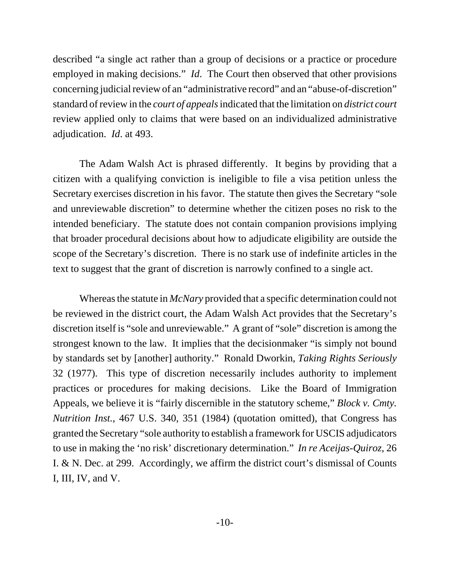described "a single act rather than a group of decisions or a practice or procedure employed in making decisions." *Id*. The Court then observed that other provisions concerning judicial review of an "administrative record" and an "abuse-of-discretion" standard of review in the *court of appeals* indicated that the limitation on *district court* review applied only to claims that were based on an individualized administrative adjudication. *Id*. at 493.

The Adam Walsh Act is phrased differently. It begins by providing that a citizen with a qualifying conviction is ineligible to file a visa petition unless the Secretary exercises discretion in his favor. The statute then gives the Secretary "sole and unreviewable discretion" to determine whether the citizen poses no risk to the intended beneficiary. The statute does not contain companion provisions implying that broader procedural decisions about how to adjudicate eligibility are outside the scope of the Secretary's discretion. There is no stark use of indefinite articles in the text to suggest that the grant of discretion is narrowly confined to a single act.

Whereas the statute in *McNary* provided that a specific determination could not be reviewed in the district court, the Adam Walsh Act provides that the Secretary's discretion itself is "sole and unreviewable." A grant of "sole" discretion is among the strongest known to the law. It implies that the decisionmaker "is simply not bound by standards set by [another] authority." Ronald Dworkin, *Taking Rights Seriously* 32 (1977). This type of discretion necessarily includes authority to implement practices or procedures for making decisions. Like the Board of Immigration Appeals, we believe it is "fairly discernible in the statutory scheme," *Block v. Cmty. Nutrition Inst.*, 467 U.S. 340, 351 (1984) (quotation omitted), that Congress has granted the Secretary "sole authority to establish a framework for USCIS adjudicators to use in making the 'no risk' discretionary determination." *In re Aceijas-Quiroz*, 26 I. & N. Dec. at 299. Accordingly, we affirm the district court's dismissal of Counts I, III, IV, and V.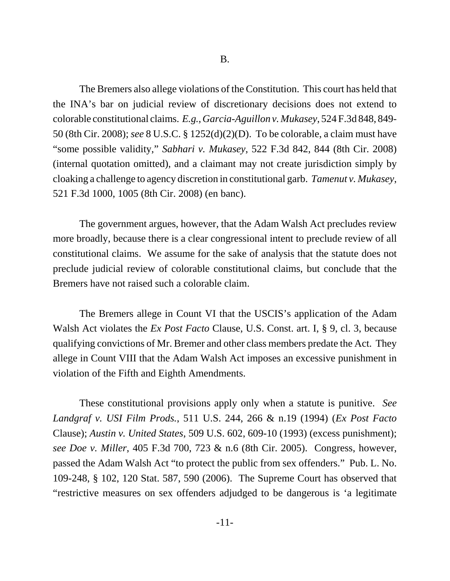The Bremers also allege violations of the Constitution. This court has held that the INA's bar on judicial review of discretionary decisions does not extend to colorable constitutional claims. *E.g.*, *Garcia-Aguillon v. Mukasey*, 524 F.3d 848, 849- 50 (8th Cir. 2008); *see* 8 U.S.C. § 1252(d)(2)(D). To be colorable, a claim must have "some possible validity," *Sabhari v. Mukasey*, 522 F.3d 842, 844 (8th Cir. 2008) (internal quotation omitted), and a claimant may not create jurisdiction simply by cloaking a challenge to agency discretion in constitutional garb. *Tamenut v. Mukasey*, 521 F.3d 1000, 1005 (8th Cir. 2008) (en banc).

The government argues, however, that the Adam Walsh Act precludes review more broadly, because there is a clear congressional intent to preclude review of all constitutional claims. We assume for the sake of analysis that the statute does not preclude judicial review of colorable constitutional claims, but conclude that the Bremers have not raised such a colorable claim.

The Bremers allege in Count VI that the USCIS's application of the Adam Walsh Act violates the *Ex Post Facto* Clause, U.S. Const. art. I, § 9, cl. 3, because qualifying convictions of Mr. Bremer and other class members predate the Act. They allege in Count VIII that the Adam Walsh Act imposes an excessive punishment in violation of the Fifth and Eighth Amendments.

These constitutional provisions apply only when a statute is punitive. *See Landgraf v. USI Film Prods.*, 511 U.S. 244, 266 & n.19 (1994) (*Ex Post Facto* Clause); *Austin v. United States*, 509 U.S. 602, 609-10 (1993) (excess punishment); *see Doe v. Miller*, 405 F.3d 700, 723 & n.6 (8th Cir. 2005). Congress, however, passed the Adam Walsh Act "to protect the public from sex offenders." Pub. L. No. 109-248, § 102, 120 Stat. 587, 590 (2006). The Supreme Court has observed that "restrictive measures on sex offenders adjudged to be dangerous is 'a legitimate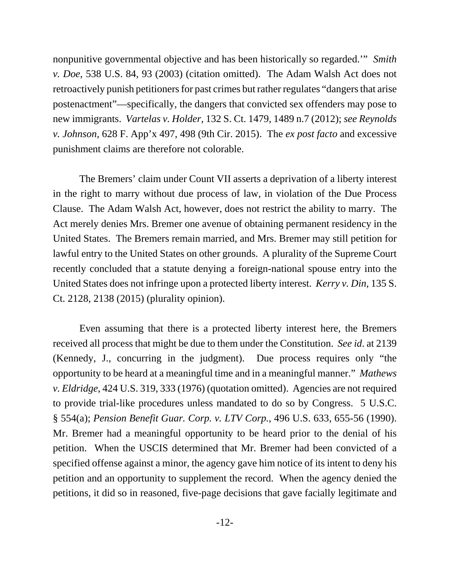nonpunitive governmental objective and has been historically so regarded.'" *Smith v. Doe*, 538 U.S. 84, 93 (2003) (citation omitted). The Adam Walsh Act does not retroactively punish petitioners for past crimes but rather regulates "dangers that arise postenactment"—specifically, the dangers that convicted sex offenders may pose to new immigrants. *Vartelas v. Holder*, 132 S. Ct. 1479, 1489 n.7 (2012); *see Reynolds v. Johnson*, 628 F. App'x 497, 498 (9th Cir. 2015). The *ex post facto* and excessive punishment claims are therefore not colorable.

The Bremers' claim under Count VII asserts a deprivation of a liberty interest in the right to marry without due process of law, in violation of the Due Process Clause. The Adam Walsh Act, however, does not restrict the ability to marry. The Act merely denies Mrs. Bremer one avenue of obtaining permanent residency in the United States. The Bremers remain married, and Mrs. Bremer may still petition for lawful entry to the United States on other grounds. A plurality of the Supreme Court recently concluded that a statute denying a foreign-national spouse entry into the United States does not infringe upon a protected liberty interest. *Kerry v. Din*, 135 S. Ct. 2128, 2138 (2015) (plurality opinion).

Even assuming that there is a protected liberty interest here, the Bremers received all process that might be due to them under the Constitution. *See id*. at 2139 (Kennedy, J., concurring in the judgment). Due process requires only "the opportunity to be heard at a meaningful time and in a meaningful manner." *Mathews v. Eldridge*, 424 U.S. 319, 333 (1976) (quotation omitted). Agencies are not required to provide trial-like procedures unless mandated to do so by Congress. 5 U.S.C. § 554(a); *Pension Benefit Guar. Corp. v. LTV Corp.*, 496 U.S. 633, 655-56 (1990). Mr. Bremer had a meaningful opportunity to be heard prior to the denial of his petition. When the USCIS determined that Mr. Bremer had been convicted of a specified offense against a minor, the agency gave him notice of its intent to deny his petition and an opportunity to supplement the record. When the agency denied the petitions, it did so in reasoned, five-page decisions that gave facially legitimate and